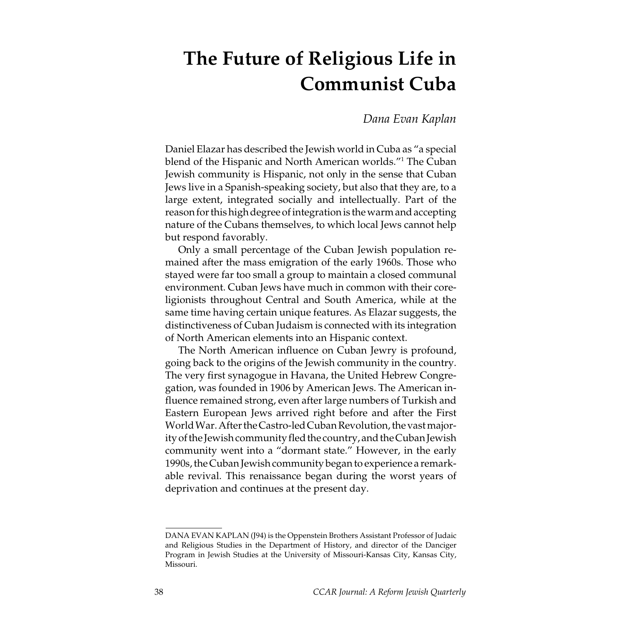# The Future of Religious Life in Communist Cuba

Dana Evan Kaplan

Daniel Elazar has described the Jewish world in Cuba as "a special blend of the Hispanic and North American worlds."1 The Cuban Jewish community is Hispanic, not only in the sense that Cuban Jews live in a Spanish-speaking society, but also that they are, to a large extent, integrated socially and intellectually. Part of the reason for this high degree of integration is the warm and accepting nature of the Cubans themselves, to which local Jews cannot help but respond favorably.

Only a small percentage of the Cuban Jewish population remained after the mass emigration of the early 1960s. Those who stayed were far too small a group to maintain a closed communal environment. Cuban Jews have much in common with their coreligionists throughout Central and South America, while at the same time having certain unique features. As Elazar suggests, the distinctiveness of Cuban Judaism is connected with its integration of North American elements into an Hispanic context.

The North American influence on Cuban Jewry is profound, going back to the origins of the Jewish community in the country. The very first synagogue in Havana, the United Hebrew Congregation, was founded in 1906 by American Jews. The American influence remained strong, even after large numbers of Turkish and Eastern European Jews arrived right before and after the First World War. After the Castro-led Cuban Revolution, the vast majority of the Jewish community fled the country, and the Cuban Jewish community went into a "dormant state." However, in the early 1990s, the Cuban Jewish community began to experience a remarkable revival. This renaissance began during the worst years of deprivation and continues at the present day.

DANA EVAN KAPLAN (J94) is the Oppenstein Brothers Assistant Professor of Judaic and Religious Studies in the Department of History, and director of the Danciger Program in Jewish Studies at the University of Missouri-Kansas City, Kansas City, Missouri.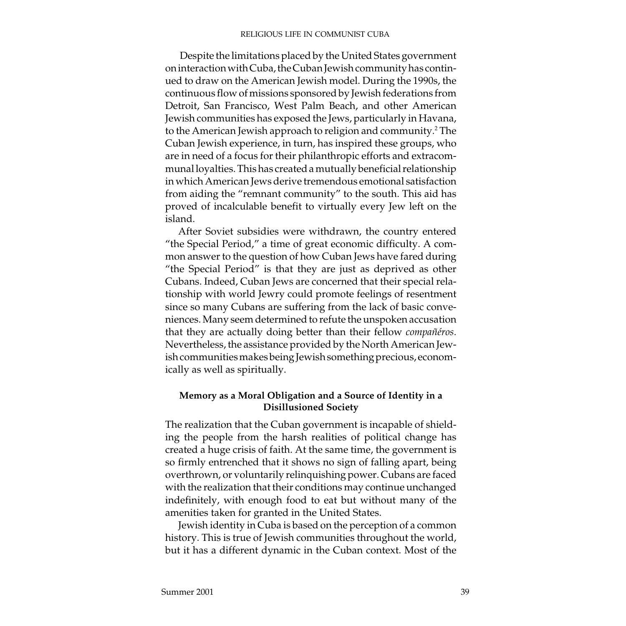Despite the limitations placed by the United States government on interaction with Cuba, the Cuban Jewish community has continued to draw on the American Jewish model. During the 1990s, the continuous flow of missions sponsored by Jewish federations from Detroit, San Francisco, West Palm Beach, and other American Jewish communities has exposed the Jews, particularly in Havana, to the American Jewish approach to religion and community.<sup>2</sup> The Cuban Jewish experience, in turn, has inspired these groups, who are in need of a focus for their philanthropic efforts and extracommunal loyalties. This has created a mutually beneficial relationship in which American Jews derive tremendous emotional satisfaction from aiding the "remnant community" to the south. This aid has proved of incalculable benefit to virtually every Jew left on the island.

After Soviet subsidies were withdrawn, the country entered "the Special Period," a time of great economic difficulty. A common answer to the question of how Cuban Jews have fared during "the Special Period" is that they are just as deprived as other Cubans. Indeed, Cuban Jews are concerned that their special relationship with world Jewry could promote feelings of resentment since so many Cubans are suffering from the lack of basic conveniences. Many seem determined to refute the unspoken accusation that they are actually doing better than their fellow compañéros. Nevertheless, the assistance provided by the North American Jewish communities makes being Jewish something precious, economically as well as spiritually.

## Memory as a Moral Obligation and a Source of Identity in a Disillusioned Society

The realization that the Cuban government is incapable of shielding the people from the harsh realities of political change has created a huge crisis of faith. At the same time, the government is so firmly entrenched that it shows no sign of falling apart, being overthrown, or voluntarily relinquishing power. Cubans are faced with the realization that their conditions may continue unchanged indefinitely, with enough food to eat but without many of the amenities taken for granted in the United States.

Jewish identity in Cuba is based on the perception of a common history. This is true of Jewish communities throughout the world, but it has a different dynamic in the Cuban context. Most of the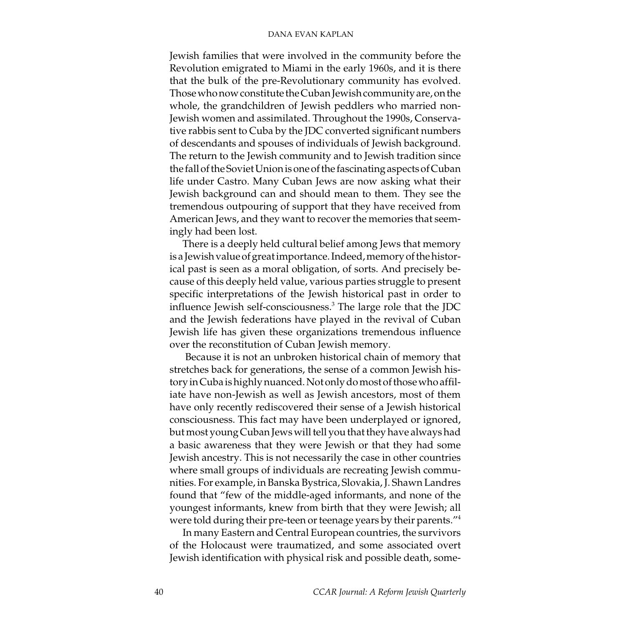Jewish families that were involved in the community before the Revolution emigrated to Miami in the early 1960s, and it is there that the bulk of the pre-Revolutionary community has evolved. Those who now constitute the Cuban Jewish community are, on the whole, the grandchildren of Jewish peddlers who married non-Jewish women and assimilated. Throughout the 1990s, Conservative rabbis sent to Cuba by the JDC converted significant numbers of descendants and spouses of individuals of Jewish background. The return to the Jewish community and to Jewish tradition since the fall of the Soviet Union is one of the fascinating aspects of Cuban life under Castro. Many Cuban Jews are now asking what their Jewish background can and should mean to them. They see the tremendous outpouring of support that they have received from American Jews, and they want to recover the memories that seemingly had been lost.

There is a deeply held cultural belief among Jews that memory is a Jewish value of great importance. Indeed, memory of the historical past is seen as a moral obligation, of sorts. And precisely because of this deeply held value, various parties struggle to present specific interpretations of the Jewish historical past in order to influence Jewish self-consciousness.<sup>3</sup> The large role that the JDC and the Jewish federations have played in the revival of Cuban Jewish life has given these organizations tremendous influence over the reconstitution of Cuban Jewish memory.

 Because it is not an unbroken historical chain of memory that stretches back for generations, the sense of a common Jewish history in Cuba is highly nuanced. Not only do most of those who affiliate have non-Jewish as well as Jewish ancestors, most of them have only recently rediscovered their sense of a Jewish historical consciousness. This fact may have been underplayed or ignored, but most young Cuban Jews will tell you that they have always had a basic awareness that they were Jewish or that they had some Jewish ancestry. This is not necessarily the case in other countries where small groups of individuals are recreating Jewish communities. For example, in Banska Bystrica, Slovakia, J. Shawn Landres found that "few of the middle-aged informants, and none of the youngest informants, knew from birth that they were Jewish; all were told during their pre-teen or teenage years by their parents."4

In many Eastern and Central European countries, the survivors of the Holocaust were traumatized, and some associated overt Jewish identification with physical risk and possible death, some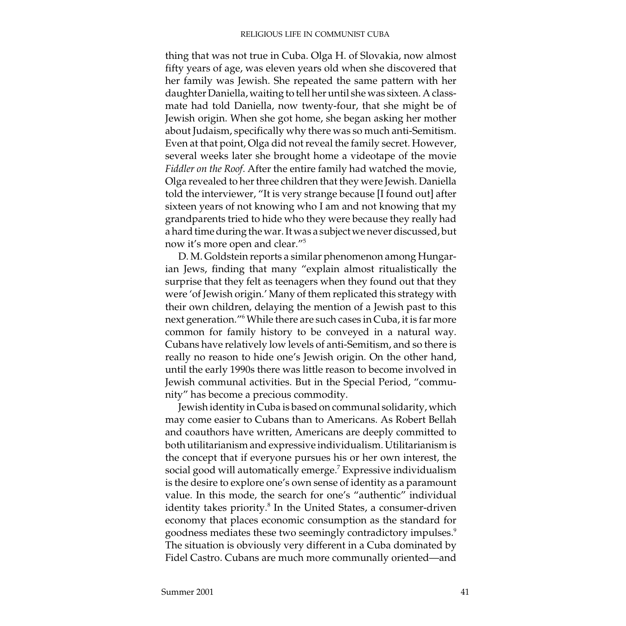thing that was not true in Cuba. Olga H. of Slovakia, now almost fifty years of age, was eleven years old when she discovered that her family was Jewish. She repeated the same pattern with her daughter Daniella, waiting to tell her until she was sixteen. A classmate had told Daniella, now twenty-four, that she might be of Jewish origin. When she got home, she began asking her mother about Judaism, specifically why there was so much anti-Semitism. Even at that point, Olga did not reveal the family secret. However, several weeks later she brought home a videotape of the movie Fiddler on the Roof. After the entire family had watched the movie, Olga revealed to her three children that they were Jewish. Daniella told the interviewer, "It is very strange because [I found out] after sixteen years of not knowing who I am and not knowing that my grandparents tried to hide who they were because they really had a hard time during the war. It was a subject we never discussed, but now it's more open and clear."5

D. M. Goldstein reports a similar phenomenon among Hungarian Jews, finding that many "explain almost ritualistically the surprise that they felt as teenagers when they found out that they were 'of Jewish origin.' Many of them replicated this strategy with their own children, delaying the mention of a Jewish past to this next generation."6 While there are such cases in Cuba, it is far more common for family history to be conveyed in a natural way. Cubans have relatively low levels of anti-Semitism, and so there is really no reason to hide one's Jewish origin. On the other hand, until the early 1990s there was little reason to become involved in Jewish communal activities. But in the Special Period, "community" has become a precious commodity.

Jewish identity in Cuba is based on communal solidarity, which may come easier to Cubans than to Americans. As Robert Bellah and coauthors have written, Americans are deeply committed to both utilitarianism and expressive individualism. Utilitarianism is the concept that if everyone pursues his or her own interest, the social good will automatically emerge. $^7$  Expressive individualism is the desire to explore one's own sense of identity as a paramount value. In this mode, the search for one's "authentic" individual identity takes priority.<sup>8</sup> In the United States, a consumer-driven economy that places economic consumption as the standard for goodness mediates these two seemingly contradictory impulses.<sup>9</sup> The situation is obviously very different in a Cuba dominated by Fidel Castro. Cubans are much more communally oriented—and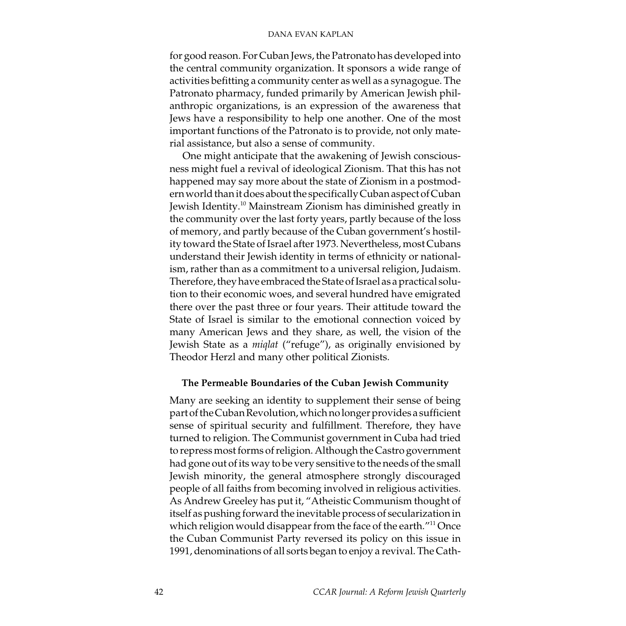for good reason. For Cuban Jews, the Patronato has developed into the central community organization. It sponsors a wide range of activities befitting a community center as well as a synagogue. The Patronato pharmacy, funded primarily by American Jewish philanthropic organizations, is an expression of the awareness that Jews have a responsibility to help one another. One of the most important functions of the Patronato is to provide, not only material assistance, but also a sense of community.

One might anticipate that the awakening of Jewish consciousness might fuel a revival of ideological Zionism. That this has not happened may say more about the state of Zionism in a postmodern world than it does about the specifically Cuban aspect of Cuban Jewish Identity.10 Mainstream Zionism has diminished greatly in the community over the last forty years, partly because of the loss of memory, and partly because of the Cuban government's hostility toward the State of Israel after 1973. Nevertheless, most Cubans understand their Jewish identity in terms of ethnicity or nationalism, rather than as a commitment to a universal religion, Judaism. Therefore, they have embraced the State of Israel as a practical solution to their economic woes, and several hundred have emigrated there over the past three or four years. Their attitude toward the State of Israel is similar to the emotional connection voiced by many American Jews and they share, as well, the vision of the Jewish State as a miqlat ("refuge"), as originally envisioned by Theodor Herzl and many other political Zionists.

## The Permeable Boundaries of the Cuban Jewish Community

Many are seeking an identity to supplement their sense of being part of the Cuban Revolution, which no longer provides a sufficient sense of spiritual security and fulfillment. Therefore, they have turned to religion. The Communist government in Cuba had tried to repress most forms of religion. Although the Castro government had gone out of its way to be very sensitive to the needs of the small Jewish minority, the general atmosphere strongly discouraged people of all faiths from becoming involved in religious activities. As Andrew Greeley has put it, "Atheistic Communism thought of itself as pushing forward the inevitable process of secularization in which religion would disappear from the face of the earth."<sup>11</sup> Once the Cuban Communist Party reversed its policy on this issue in 1991, denominations of all sorts began to enjoy a revival. The Cath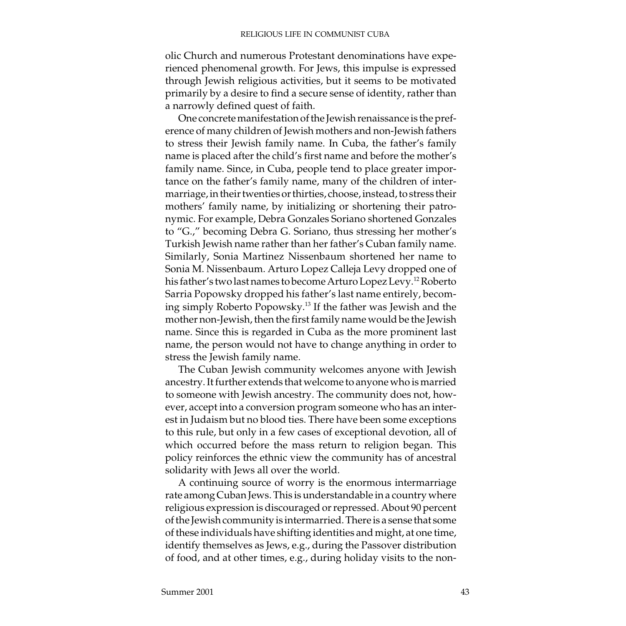olic Church and numerous Protestant denominations have experienced phenomenal growth. For Jews, this impulse is expressed through Jewish religious activities, but it seems to be motivated primarily by a desire to find a secure sense of identity, rather than a narrowly defined quest of faith.

One concrete manifestation of the Jewish renaissance is the preference of many children of Jewish mothers and non-Jewish fathers to stress their Jewish family name. In Cuba, the father's family name is placed after the child's first name and before the mother's family name. Since, in Cuba, people tend to place greater importance on the father's family name, many of the children of intermarriage, in their twenties or thirties, choose, instead, to stress their mothers' family name, by initializing or shortening their patronymic. For example, Debra Gonzales Soriano shortened Gonzales to "G.," becoming Debra G. Soriano, thus stressing her mother's Turkish Jewish name rather than her father's Cuban family name. Similarly, Sonia Martinez Nissenbaum shortened her name to Sonia M. Nissenbaum. Arturo Lopez Calleja Levy dropped one of his father's two last names to become Arturo Lopez Levy.12 Roberto Sarria Popowsky dropped his father's last name entirely, becoming simply Roberto Popowsky.13 If the father was Jewish and the mother non-Jewish, then the first family name would be the Jewish name. Since this is regarded in Cuba as the more prominent last name, the person would not have to change anything in order to stress the Jewish family name.

The Cuban Jewish community welcomes anyone with Jewish ancestry. It further extends that welcome to anyone who is married to someone with Jewish ancestry. The community does not, however, accept into a conversion program someone who has an interest in Judaism but no blood ties. There have been some exceptions to this rule, but only in a few cases of exceptional devotion, all of which occurred before the mass return to religion began. This policy reinforces the ethnic view the community has of ancestral solidarity with Jews all over the world.

A continuing source of worry is the enormous intermarriage rate among Cuban Jews. This is understandable in a country where religious expression is discouraged or repressed. About 90 percent of the Jewish community is intermarried. There is a sense that some of these individuals have shifting identities and might, at one time, identify themselves as Jews, e.g., during the Passover distribution of food, and at other times, e.g., during holiday visits to the non-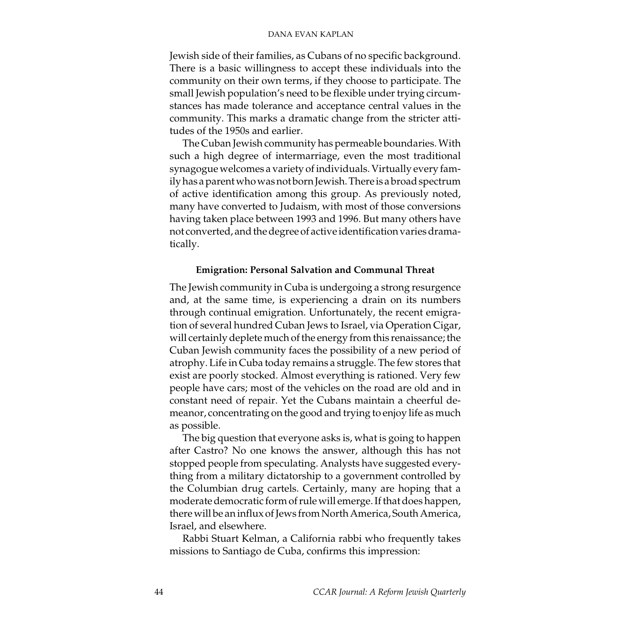Jewish side of their families, as Cubans of no specific background. There is a basic willingness to accept these individuals into the community on their own terms, if they choose to participate. The small Jewish population's need to be flexible under trying circumstances has made tolerance and acceptance central values in the community. This marks a dramatic change from the stricter attitudes of the 1950s and earlier.

The Cuban Jewish community has permeable boundaries. With such a high degree of intermarriage, even the most traditional synagogue welcomes a variety of individuals. Virtually every family has a parent who was not born Jewish. There is a broad spectrum of active identification among this group. As previously noted, many have converted to Judaism, with most of those conversions having taken place between 1993 and 1996. But many others have not converted, and the degree of active identification varies dramatically.

## Emigration: Personal Salvation and Communal Threat

The Jewish community in Cuba is undergoing a strong resurgence and, at the same time, is experiencing a drain on its numbers through continual emigration. Unfortunately, the recent emigration of several hundred Cuban Jews to Israel, via Operation Cigar, will certainly deplete much of the energy from this renaissance; the Cuban Jewish community faces the possibility of a new period of atrophy. Life in Cuba today remains a struggle. The few stores that exist are poorly stocked. Almost everything is rationed. Very few people have cars; most of the vehicles on the road are old and in constant need of repair. Yet the Cubans maintain a cheerful demeanor, concentrating on the good and trying to enjoy life as much as possible.

The big question that everyone asks is, what is going to happen after Castro? No one knows the answer, although this has not stopped people from speculating. Analysts have suggested everything from a military dictatorship to a government controlled by the Columbian drug cartels. Certainly, many are hoping that a moderate democratic form of rule will emerge. If that does happen, there will be an influx of Jews from North America, South America, Israel, and elsewhere.

Rabbi Stuart Kelman, a California rabbi who frequently takes missions to Santiago de Cuba, confirms this impression: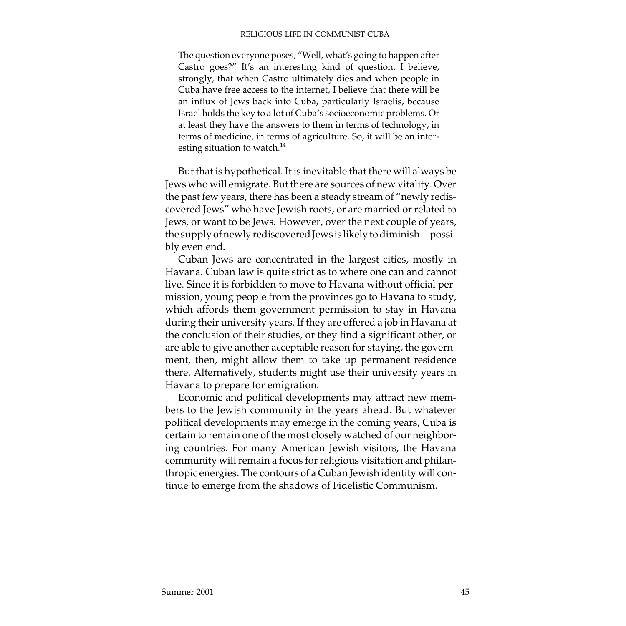The question everyone poses, "Well, what's going to happen after Castro goes?" It's an interesting kind of question. I believe, strongly, that when Castro ultimately dies and when people in Cuba have free access to the internet, I believe that there will be an influx of Jews back into Cuba, particularly Israelis, because Israel holds the key to a lot of Cuba's socioeconomic problems. Or at least they have the answers to them in terms of technology, in terms of medicine, in terms of agriculture. So, it will be an interesting situation to watch.<sup>14</sup>

But that is hypothetical. It is inevitable that there will always be Jews who will emigrate. But there are sources of new vitality. Over the past few years, there has been a steady stream of "newly rediscovered Jews" who have Jewish roots, or are married or related to Jews, or want to be Jews. However, over the next couple of years, the supply of newly rediscovered Jews is likely to diminish—possibly even end.

Cuban Jews are concentrated in the largest cities, mostly in Havana. Cuban law is quite strict as to where one can and cannot live. Since it is forbidden to move to Havana without official permission, young people from the provinces go to Havana to study, which affords them government permission to stay in Havana during their university years. If they are offered a job in Havana at the conclusion of their studies, or they find a significant other, or are able to give another acceptable reason for staying, the government, then, might allow them to take up permanent residence there. Alternatively, students might use their university years in Havana to prepare for emigration.

Economic and political developments may attract new members to the Jewish community in the years ahead. But whatever political developments may emerge in the coming years, Cuba is certain to remain one of the most closely watched of our neighboring countries. For many American Jewish visitors, the Havana community will remain a focus for religious visitation and philanthropic energies. The contours of a Cuban Jewish identity will continue to emerge from the shadows of Fidelistic Communism.